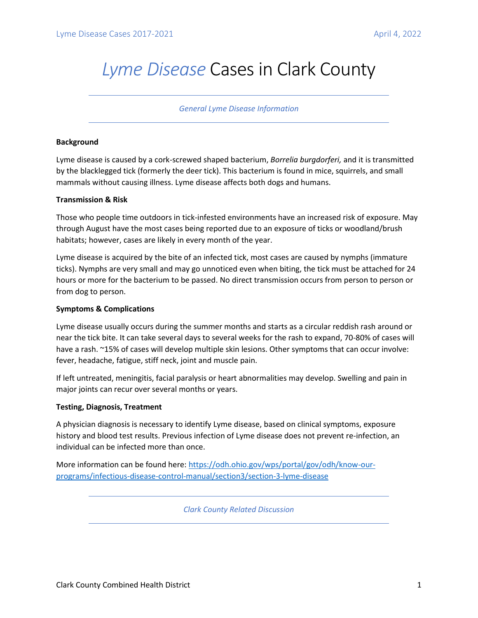# *Lyme Disease* Cases in Clark County

### *General Lyme Disease Information*

## **Background**

Lyme disease is caused by a cork-screwed shaped bacterium, *Borrelia burgdorferi,* and it is transmitted by the blacklegged tick (formerly the deer tick). This bacterium is found in mice, squirrels, and small mammals without causing illness. Lyme disease affects both dogs and humans.

## **Transmission & Risk**

Those who people time outdoors in tick-infested environments have an increased risk of exposure. May through August have the most cases being reported due to an exposure of ticks or woodland/brush habitats; however, cases are likely in every month of the year.

Lyme disease is acquired by the bite of an infected tick, most cases are caused by nymphs (immature ticks). Nymphs are very small and may go unnoticed even when biting, the tick must be attached for 24 hours or more for the bacterium to be passed. No direct transmission occurs from person to person or from dog to person.

## **Symptoms & Complications**

Lyme disease usually occurs during the summer months and starts as a circular reddish rash around or near the tick bite. It can take several days to several weeks for the rash to expand, 70-80% of cases will have a rash. ~15% of cases will develop multiple skin lesions. Other symptoms that can occur involve: fever, headache, fatigue, stiff neck, joint and muscle pain.

If left untreated, meningitis, facial paralysis or heart abnormalities may develop. Swelling and pain in major joints can recur over several months or years.

## **Testing, Diagnosis, Treatment**

A physician diagnosis is necessary to identify Lyme disease, based on clinical symptoms, exposure history and blood test results. Previous infection of Lyme disease does not prevent re-infection, an individual can be infected more than once.

More information can be found here[: https://odh.ohio.gov/wps/portal/gov/odh/know-our](https://odh.ohio.gov/wps/portal/gov/odh/know-our-programs/infectious-disease-control-manual/section3/section-3-lyme-disease)[programs/infectious-disease-control-manual/section3/section-3-lyme-disease](https://odh.ohio.gov/wps/portal/gov/odh/know-our-programs/infectious-disease-control-manual/section3/section-3-lyme-disease)

*Clark County Related Discussion*